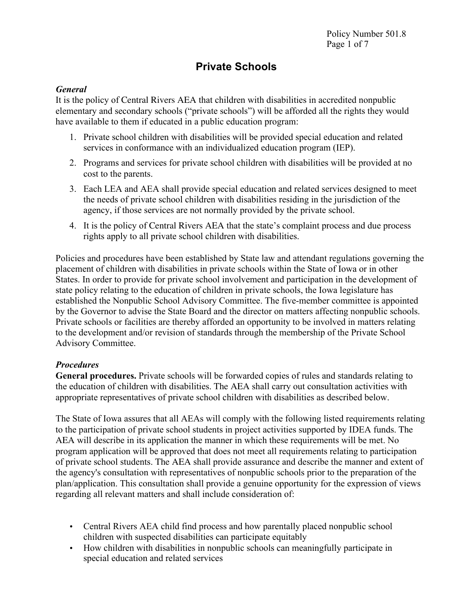# **Private Schools**

### *General*

It is the policy of Central Rivers AEA that children with disabilities in accredited nonpublic elementary and secondary schools ("private schools") will be afforded all the rights they would have available to them if educated in a public education program:

- 1. Private school children with disabilities will be provided special education and related services in conformance with an individualized education program (IEP).
- 2. Programs and services for private school children with disabilities will be provided at no cost to the parents.
- 3. Each LEA and AEA shall provide special education and related services designed to meet the needs of private school children with disabilities residing in the jurisdiction of the agency, if those services are not normally provided by the private school.
- 4. It is the policy of Central Rivers AEA that the state's complaint process and due process rights apply to all private school children with disabilities.

Policies and procedures have been established by State law and attendant regulations governing the placement of children with disabilities in private schools within the State of Iowa or in other States. In order to provide for private school involvement and participation in the development of state policy relating to the education of children in private schools, the Iowa legislature has established the Nonpublic School Advisory Committee. The five-member committee is appointed by the Governor to advise the State Board and the director on matters affecting nonpublic schools. Private schools or facilities are thereby afforded an opportunity to be involved in matters relating to the development and/or revision of standards through the membership of the Private School Advisory Committee.

## *Procedures*

**General procedures.** Private schools will be forwarded copies of rules and standards relating to the education of children with disabilities. The AEA shall carry out consultation activities with appropriate representatives of private school children with disabilities as described below.

The State of Iowa assures that all AEAs will comply with the following listed requirements relating to the participation of private school students in project activities supported by IDEA funds. The AEA will describe in its application the manner in which these requirements will be met. No program application will be approved that does not meet all requirements relating to participation of private school students. The AEA shall provide assurance and describe the manner and extent of the agency's consultation with representatives of nonpublic schools prior to the preparation of the plan/application. This consultation shall provide a genuine opportunity for the expression of views regarding all relevant matters and shall include consideration of:

- Central Rivers AEA child find process and how parentally placed nonpublic school children with suspected disabilities can participate equitably
- How children with disabilities in nonpublic schools can meaningfully participate in special education and related services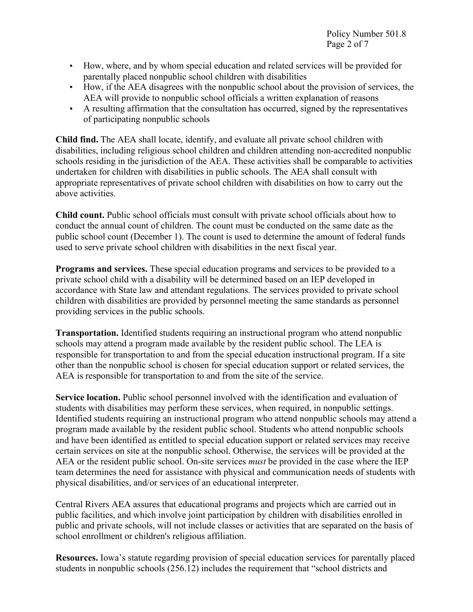- How, where, and by whom special education and related services will be provided for parentally placed nonpublic school children with disabilities
- How, if the AEA disagrees with the nonpublic school about the provision of services, the AEA will provide to nonpublic school officials a written explanation of reasons
- A resulting affirmation that the consultation has occurred, signed by the representatives of participating nonpublic schools

**Child find.** The AEA shall locate, identify, and evaluate all private school children with disabilities, including religious school children and children attending non-accredited nonpublic schools residing in the jurisdiction of the AEA. These activities shall be comparable to activities undertaken for children with disabilities in public schools. The AEA shall consult with appropriate representatives of private school children with disabilities on how to carry out the above activities.

**Child count.** Public school officials must consult with private school officials about how to conduct the annual count of children. The count must be conducted on the same date as the public school count (December 1). The count is used to determine the amount of federal funds used to serve private school children with disabilities in the next fiscal year.

**Programs and services.** These special education programs and services to be provided to a private school child with a disability will be determined based on an IEP developed in accordance with State law and attendant regulations. The services provided to private school children with disabilities are provided by personnel meeting the same standards as personnel providing services in the public schools.

**Transportation.** Identified students requiring an instructional program who attend nonpublic schools may attend a program made available by the resident public school. The LEA is responsible for transportation to and from the special education instructional program. If a site other than the nonpublic school is chosen for special education support or related services, the AEA is responsible for transportation to and from the site of the service.

**Service location.** Public school personnel involved with the identification and evaluation of students with disabilities may perform these services, when required, in nonpublic settings. Identified students requiring an instructional program who attend nonpublic schools may attend a program made available by the resident public school. Students who attend nonpublic schools and have been identified as entitled to special education support or related services may receive certain services on site at the nonpublic school. Otherwise, the services will be provided at the AEA or the resident public school. On-site services *must* be provided in the case where the IEP team determines the need for assistance with physical and communication needs of students with physical disabilities, and/or services of an educational interpreter.

Central Rivers AEA assures that educational programs and projects which are carried out in public facilities, and which involve joint participation by children with disabilities enrolled in public and private schools, will not include classes or activities that are separated on the basis of school enrollment or children's religious affiliation.

**Resources.** Iowa's statute regarding provision of special education services for parentally placed students in nonpublic schools (256.12) includes the requirement that "school districts and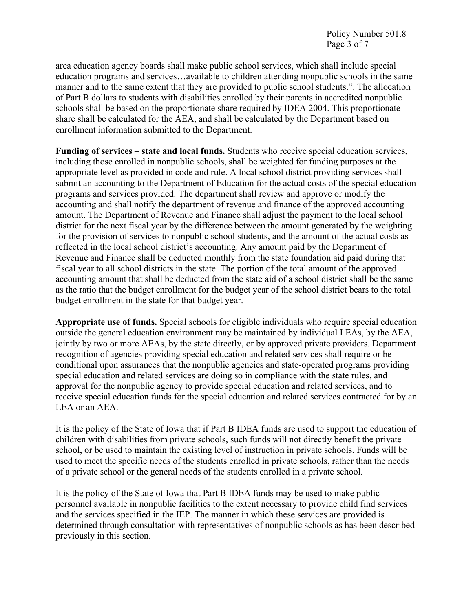Policy Number 501.8 Page 3 of 7

area education agency boards shall make public school services, which shall include special education programs and services…available to children attending nonpublic schools in the same manner and to the same extent that they are provided to public school students.". The allocation of Part B dollars to students with disabilities enrolled by their parents in accredited nonpublic schools shall be based on the proportionate share required by IDEA 2004. This proportionate share shall be calculated for the AEA, and shall be calculated by the Department based on enrollment information submitted to the Department.

**Funding of services – state and local funds.** Students who receive special education services, including those enrolled in nonpublic schools, shall be weighted for funding purposes at the appropriate level as provided in code and rule. A local school district providing services shall submit an accounting to the Department of Education for the actual costs of the special education programs and services provided. The department shall review and approve or modify the accounting and shall notify the department of revenue and finance of the approved accounting amount. The Department of Revenue and Finance shall adjust the payment to the local school district for the next fiscal year by the difference between the amount generated by the weighting for the provision of services to nonpublic school students, and the amount of the actual costs as reflected in the local school district's accounting. Any amount paid by the Department of Revenue and Finance shall be deducted monthly from the state foundation aid paid during that fiscal year to all school districts in the state. The portion of the total amount of the approved accounting amount that shall be deducted from the state aid of a school district shall be the same as the ratio that the budget enrollment for the budget year of the school district bears to the total budget enrollment in the state for that budget year.

**Appropriate use of funds.** Special schools for eligible individuals who require special education outside the general education environment may be maintained by individual LEAs, by the AEA, jointly by two or more AEAs, by the state directly, or by approved private providers. Department recognition of agencies providing special education and related services shall require or be conditional upon assurances that the nonpublic agencies and state-operated programs providing special education and related services are doing so in compliance with the state rules, and approval for the nonpublic agency to provide special education and related services, and to receive special education funds for the special education and related services contracted for by an LEA or an AEA.

It is the policy of the State of Iowa that if Part B IDEA funds are used to support the education of children with disabilities from private schools, such funds will not directly benefit the private school, or be used to maintain the existing level of instruction in private schools. Funds will be used to meet the specific needs of the students enrolled in private schools, rather than the needs of a private school or the general needs of the students enrolled in a private school.

It is the policy of the State of Iowa that Part B IDEA funds may be used to make public personnel available in nonpublic facilities to the extent necessary to provide child find services and the services specified in the IEP. The manner in which these services are provided is determined through consultation with representatives of nonpublic schools as has been described previously in this section.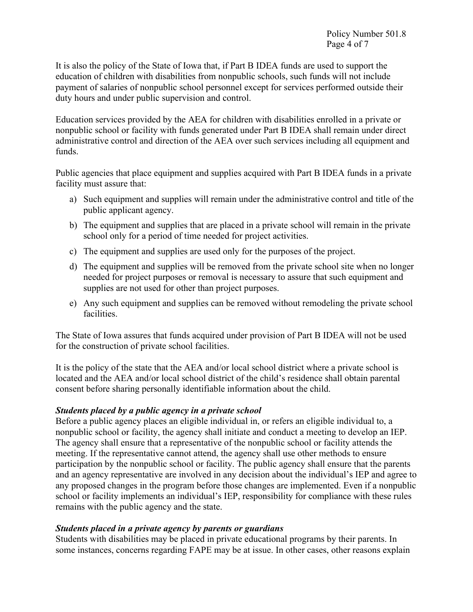It is also the policy of the State of Iowa that, if Part B IDEA funds are used to support the education of children with disabilities from nonpublic schools, such funds will not include payment of salaries of nonpublic school personnel except for services performed outside their duty hours and under public supervision and control.

Education services provided by the AEA for children with disabilities enrolled in a private or nonpublic school or facility with funds generated under Part B IDEA shall remain under direct administrative control and direction of the AEA over such services including all equipment and funds.

Public agencies that place equipment and supplies acquired with Part B IDEA funds in a private facility must assure that:

- a) Such equipment and supplies will remain under the administrative control and title of the public applicant agency.
- b) The equipment and supplies that are placed in a private school will remain in the private school only for a period of time needed for project activities.
- c) The equipment and supplies are used only for the purposes of the project.
- d) The equipment and supplies will be removed from the private school site when no longer needed for project purposes or removal is necessary to assure that such equipment and supplies are not used for other than project purposes.
- e) Any such equipment and supplies can be removed without remodeling the private school facilities.

The State of Iowa assures that funds acquired under provision of Part B IDEA will not be used for the construction of private school facilities.

It is the policy of the state that the AEA and/or local school district where a private school is located and the AEA and/or local school district of the child's residence shall obtain parental consent before sharing personally identifiable information about the child.

#### *Students placed by a public agency in a private school*

Before a public agency places an eligible individual in, or refers an eligible individual to, a nonpublic school or facility, the agency shall initiate and conduct a meeting to develop an IEP. The agency shall ensure that a representative of the nonpublic school or facility attends the meeting. If the representative cannot attend, the agency shall use other methods to ensure participation by the nonpublic school or facility. The public agency shall ensure that the parents and an agency representative are involved in any decision about the individual's IEP and agree to any proposed changes in the program before those changes are implemented. Even if a nonpublic school or facility implements an individual's IEP, responsibility for compliance with these rules remains with the public agency and the state.

#### *Students placed in a private agency by parents or guardians*

Students with disabilities may be placed in private educational programs by their parents. In some instances, concerns regarding FAPE may be at issue. In other cases, other reasons explain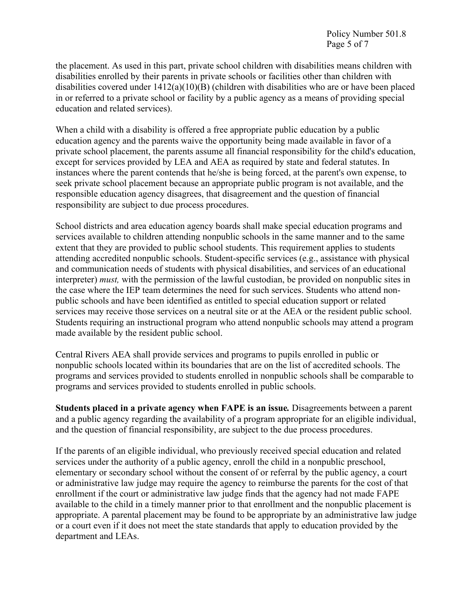the placement. As used in this part, private school children with disabilities means children with disabilities enrolled by their parents in private schools or facilities other than children with disabilities covered under  $1412(a)(10)(B)$  (children with disabilities who are or have been placed in or referred to a private school or facility by a public agency as a means of providing special education and related services).

When a child with a disability is offered a free appropriate public education by a public education agency and the parents waive the opportunity being made available in favor of a private school placement, the parents assume all financial responsibility for the child's education, except for services provided by LEA and AEA as required by state and federal statutes. In instances where the parent contends that he/she is being forced, at the parent's own expense, to seek private school placement because an appropriate public program is not available, and the responsible education agency disagrees, that disagreement and the question of financial responsibility are subject to due process procedures.

School districts and area education agency boards shall make special education programs and services available to children attending nonpublic schools in the same manner and to the same extent that they are provided to public school students. This requirement applies to students attending accredited nonpublic schools. Student-specific services (e.g., assistance with physical and communication needs of students with physical disabilities, and services of an educational interpreter) *must,* with the permission of the lawful custodian, be provided on nonpublic sites in the case where the IEP team determines the need for such services. Students who attend nonpublic schools and have been identified as entitled to special education support or related services may receive those services on a neutral site or at the AEA or the resident public school. Students requiring an instructional program who attend nonpublic schools may attend a program made available by the resident public school.

Central Rivers AEA shall provide services and programs to pupils enrolled in public or nonpublic schools located within its boundaries that are on the list of accredited schools. The programs and services provided to students enrolled in nonpublic schools shall be comparable to programs and services provided to students enrolled in public schools.

**Students placed in a private agency when FAPE is an issue***.* Disagreements between a parent and a public agency regarding the availability of a program appropriate for an eligible individual, and the question of financial responsibility, are subject to the due process procedures.

If the parents of an eligible individual, who previously received special education and related services under the authority of a public agency, enroll the child in a nonpublic preschool, elementary or secondary school without the consent of or referral by the public agency, a court or administrative law judge may require the agency to reimburse the parents for the cost of that enrollment if the court or administrative law judge finds that the agency had not made FAPE available to the child in a timely manner prior to that enrollment and the nonpublic placement is appropriate. A parental placement may be found to be appropriate by an administrative law judge or a court even if it does not meet the state standards that apply to education provided by the department and LEAs.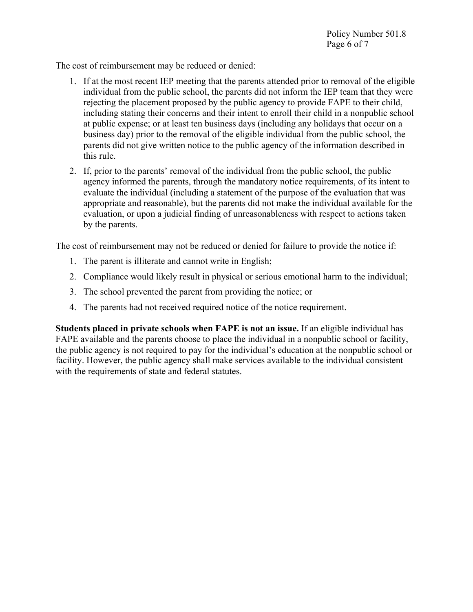The cost of reimbursement may be reduced or denied:

- 1. If at the most recent IEP meeting that the parents attended prior to removal of the eligible individual from the public school, the parents did not inform the IEP team that they were rejecting the placement proposed by the public agency to provide FAPE to their child, including stating their concerns and their intent to enroll their child in a nonpublic school at public expense; or at least ten business days (including any holidays that occur on a business day) prior to the removal of the eligible individual from the public school, the parents did not give written notice to the public agency of the information described in this rule.
- 2. If, prior to the parents' removal of the individual from the public school, the public agency informed the parents, through the mandatory notice requirements, of its intent to evaluate the individual (including a statement of the purpose of the evaluation that was appropriate and reasonable), but the parents did not make the individual available for the evaluation, or upon a judicial finding of unreasonableness with respect to actions taken by the parents.

The cost of reimbursement may not be reduced or denied for failure to provide the notice if:

- 1. The parent is illiterate and cannot write in English;
- 2. Compliance would likely result in physical or serious emotional harm to the individual;
- 3. The school prevented the parent from providing the notice; or
- 4. The parents had not received required notice of the notice requirement.

**Students placed in private schools when FAPE is not an issue.** If an eligible individual has FAPE available and the parents choose to place the individual in a nonpublic school or facility, the public agency is not required to pay for the individual's education at the nonpublic school or facility. However, the public agency shall make services available to the individual consistent with the requirements of state and federal statutes.